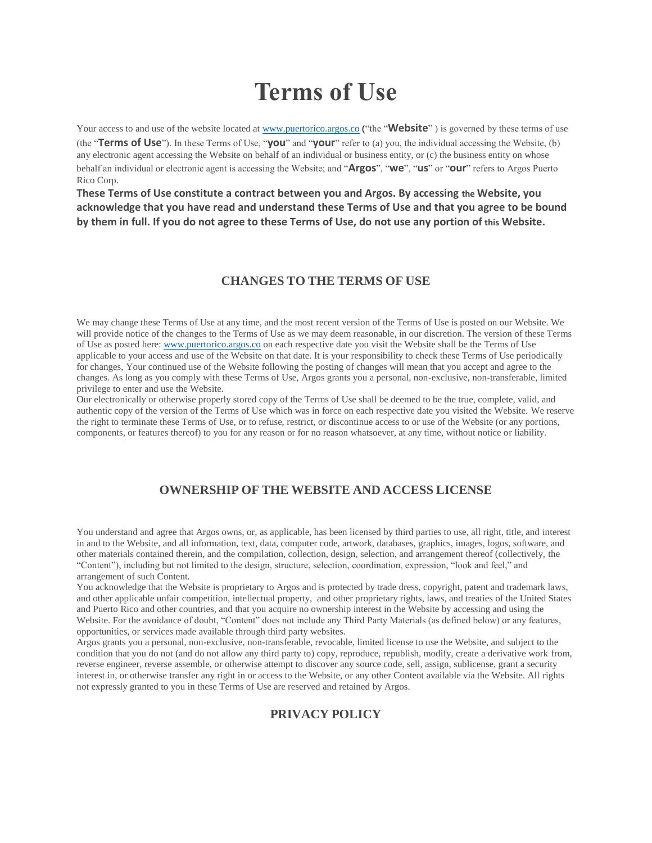# **Terms of Use**

Your access to and use of the website located at [www.puertorico.argos.co](http://www.puertorico.argos.co/) ("the "**Website**") is governed by these terms of use (the "**Terms of Use**"). In these Terms of Use, "**you**" and "**your**" refer to (a) you, the individual accessing the Website, (b) any electronic agent accessing the Website on behalf of an individual or business entity, or (c) the business entity on whose behalf an individual or electronic agent is accessing the Website; and "**Argos**", "**we**", "**us**" or "**our**" refers to Argos Puerto Rico Corp.

**These Terms of Use constitute a contract between you and Argos. By accessing the Website, you acknowledge that you have read and understand these Terms of Use and that you agree to be bound by them in full. If you do not agree to these Terms of Use, do not use any portion of this Website.**

## **CHANGES TO THE TERMS OF USE**

We may change these Terms of Use at any time, and the most recent version of the Terms of Use is posted on our Website. We will provide notice of the changes to the Terms of Use as we may deem reasonable, in our discretion. The version of these Terms of Use as posted here: [www.puertorico.argos.co](http://www.puertorico.argos.co/) on each respective date you visit the Website shall be the Terms of Use applicable to your access and use of the Website on that date. It is your responsibility to check these Terms of Use periodically for changes, Your continued use of the Website following the posting of changes will mean that you accept and agree to the changes. As long as you comply with these Terms of Use, Argos grants you a personal, non-exclusive, non-transferable, limited privilege to enter and use the Website.

Our electronically or otherwise properly stored copy of the Terms of Use shall be deemed to be the true, complete, valid, and authentic copy of the version of the Terms of Use which was in force on each respective date you visited the Website. We reserve the right to terminate these Terms of Use, or to refuse, restrict, or discontinue access to or use of the Website (or any portions, components, or features thereof) to you for any reason or for no reason whatsoever, at any time, without notice or liability.

## **OWNERSHIP OF THE WEBSITE AND ACCESS LICENSE**

You understand and agree that Argos owns, or, as applicable, has been licensed by third parties to use, all right, title, and interest in and to the Website, and all information, text, data, computer code, artwork, databases, graphics, images, logos, software, and other materials contained therein, and the compilation, collection, design, selection, and arrangement thereof (collectively, the "Content"), including but not limited to the design, structure, selection, coordination, expression, "look and feel," and arrangement of such Content.

You acknowledge that the Website is proprietary to Argos and is protected by trade dress, copyright, patent and trademark laws, and other applicable unfair competition, intellectual property, and other proprietary rights, laws, and treaties of the United States and Puerto Rico and other countries, and that you acquire no ownership interest in the Website by accessing and using the Website. For the avoidance of doubt, "Content" does not include any Third Party Materials (as defined below) or any features, opportunities, or services made available through third party websites.

Argos grants you a personal, non-exclusive, non-transferable, revocable, limited license to use the Website, and subject to the condition that you do not (and do not allow any third party to) copy, reproduce, republish, modify, create a derivative work from, reverse engineer, reverse assemble, or otherwise attempt to discover any source code, sell, assign, sublicense, grant a security interest in, or otherwise transfer any right in or access to the Website, or any other Content available via the Website. All rights not expressly granted to you in these Terms of Use are reserved and retained by Argos.

## **PRIVACY POLICY**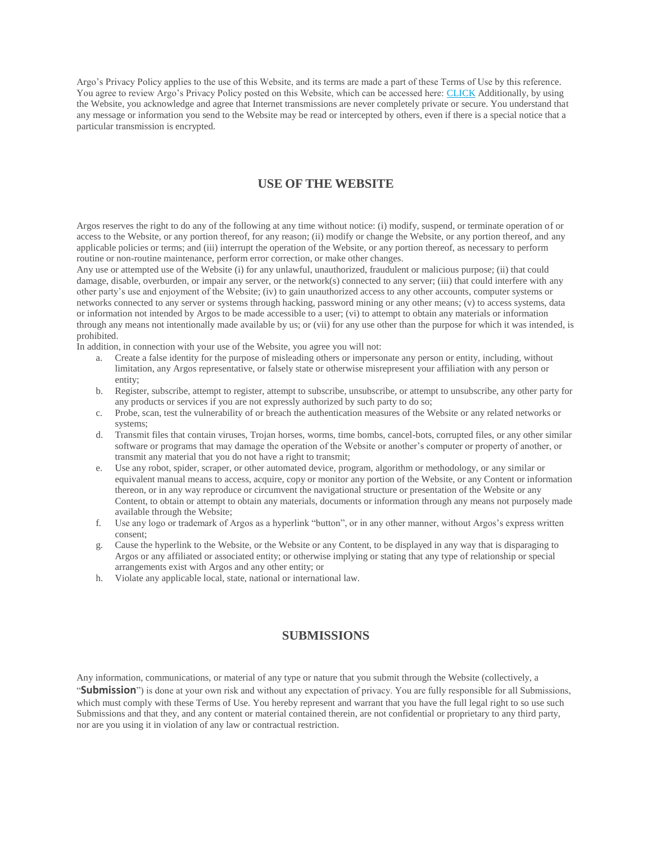Argo's Privacy Policy applies to the use of this Website, and its terms are made a part of these Terms of Use by this reference. You agree to review Argo's Privacy Policy posted on this Website, which can be accessed here: [CLICK](https://uscement.argosone.com/) Additionally, by using the Website, you acknowledge and agree that Internet transmissions are never completely private or secure. You understand that any message or information you send to the Website may be read or intercepted by others, even if there is a special notice that a particular transmission is encrypted.

## **USE OF THE WEBSITE**

Argos reserves the right to do any of the following at any time without notice: (i) modify, suspend, or terminate operation of or access to the Website, or any portion thereof, for any reason; (ii) modify or change the Website, or any portion thereof, and any applicable policies or terms; and (iii) interrupt the operation of the Website, or any portion thereof, as necessary to perform routine or non-routine maintenance, perform error correction, or make other changes.

Any use or attempted use of the Website (i) for any unlawful, unauthorized, fraudulent or malicious purpose; (ii) that could damage, disable, overburden, or impair any server, or the network(s) connected to any server; (iii) that could interfere with any other party's use and enjoyment of the Website; (iv) to gain unauthorized access to any other accounts, computer systems or networks connected to any server or systems through hacking, password mining or any other means; (v) to access systems, data or information not intended by Argos to be made accessible to a user; (vi) to attempt to obtain any materials or information through any means not intentionally made available by us; or (vii) for any use other than the purpose for which it was intended, is prohibited.

In addition, in connection with your use of the Website, you agree you will not:

- a. Create a false identity for the purpose of misleading others or impersonate any person or entity, including, without limitation, any Argos representative, or falsely state or otherwise misrepresent your affiliation with any person or entity;
- b. Register, subscribe, attempt to register, attempt to subscribe, unsubscribe, or attempt to unsubscribe, any other party for any products or services if you are not expressly authorized by such party to do so;
- c. Probe, scan, test the vulnerability of or breach the authentication measures of the Website or any related networks or systems;
- d. Transmit files that contain viruses, Trojan horses, worms, time bombs, cancel-bots, corrupted files, or any other similar software or programs that may damage the operation of the Website or another's computer or property of another, or transmit any material that you do not have a right to transmit;
- e. Use any robot, spider, scraper, or other automated device, program, algorithm or methodology, or any similar or equivalent manual means to access, acquire, copy or monitor any portion of the Website, or any Content or information thereon, or in any way reproduce or circumvent the navigational structure or presentation of the Website or any Content, to obtain or attempt to obtain any materials, documents or information through any means not purposely made available through the Website;
- f. Use any logo or trademark of Argos as a hyperlink "button", or in any other manner, without Argos's express written consent;
- g. Cause the hyperlink to the Website, or the Website or any Content, to be displayed in any way that is disparaging to Argos or any affiliated or associated entity; or otherwise implying or stating that any type of relationship or special arrangements exist with Argos and any other entity; or
- h. Violate any applicable local, state, national or international law.

## **SUBMISSIONS**

Any information, communications, or material of any type or nature that you submit through the Website (collectively, a "**Submission**") is done at your own risk and without any expectation of privacy. You are fully responsible for all Submissions, which must comply with these Terms of Use. You hereby represent and warrant that you have the full legal right to so use such Submissions and that they, and any content or material contained therein, are not confidential or proprietary to any third party, nor are you using it in violation of any law or contractual restriction.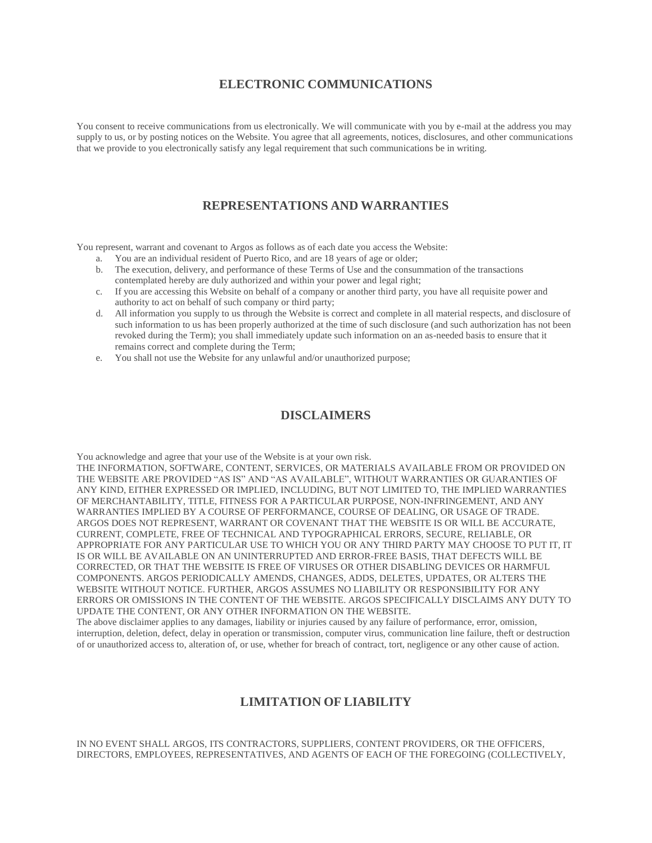## **ELECTRONIC COMMUNICATIONS**

You consent to receive communications from us electronically. We will communicate with you by e-mail at the address you may supply to us, or by posting notices on the Website. You agree that all agreements, notices, disclosures, and other communications that we provide to you electronically satisfy any legal requirement that such communications be in writing.

## **REPRESENTATIONS AND WARRANTIES**

You represent, warrant and covenant to Argos as follows as of each date you access the Website:

- a. You are an individual resident of Puerto Rico, and are 18 years of age or older;
- b. The execution, delivery, and performance of these Terms of Use and the consummation of the transactions contemplated hereby are duly authorized and within your power and legal right;
- c. If you are accessing this Website on behalf of a company or another third party, you have all requisite power and authority to act on behalf of such company or third party;
- d. All information you supply to us through the Website is correct and complete in all material respects, and disclosure of such information to us has been properly authorized at the time of such disclosure (and such authorization has not been revoked during the Term); you shall immediately update such information on an as-needed basis to ensure that it remains correct and complete during the Term;
- e. You shall not use the Website for any unlawful and/or unauthorized purpose;

#### **DISCLAIMERS**

You acknowledge and agree that your use of the Website is at your own risk.

THE INFORMATION, SOFTWARE, CONTENT, SERVICES, OR MATERIALS AVAILABLE FROM OR PROVIDED ON THE WEBSITE ARE PROVIDED "AS IS" AND "AS AVAILABLE", WITHOUT WARRANTIES OR GUARANTIES OF ANY KIND, EITHER EXPRESSED OR IMPLIED, INCLUDING, BUT NOT LIMITED TO, THE IMPLIED WARRANTIES OF MERCHANTABILITY, TITLE, FITNESS FOR A PARTICULAR PURPOSE, NON-INFRINGEMENT, AND ANY WARRANTIES IMPLIED BY A COURSE OF PERFORMANCE, COURSE OF DEALING, OR USAGE OF TRADE. ARGOS DOES NOT REPRESENT, WARRANT OR COVENANT THAT THE WEBSITE IS OR WILL BE ACCURATE, CURRENT, COMPLETE, FREE OF TECHNICAL AND TYPOGRAPHICAL ERRORS, SECURE, RELIABLE, OR APPROPRIATE FOR ANY PARTICULAR USE TO WHICH YOU OR ANY THIRD PARTY MAY CHOOSE TO PUT IT, IT IS OR WILL BE AVAILABLE ON AN UNINTERRUPTED AND ERROR-FREE BASIS, THAT DEFECTS WILL BE CORRECTED, OR THAT THE WEBSITE IS FREE OF VIRUSES OR OTHER DISABLING DEVICES OR HARMFUL COMPONENTS. ARGOS PERIODICALLY AMENDS, CHANGES, ADDS, DELETES, UPDATES, OR ALTERS THE WEBSITE WITHOUT NOTICE. FURTHER, ARGOS ASSUMES NO LIABILITY OR RESPONSIBILITY FOR ANY ERRORS OR OMISSIONS IN THE CONTENT OF THE WEBSITE. ARGOS SPECIFICALLY DISCLAIMS ANY DUTY TO UPDATE THE CONTENT, OR ANY OTHER INFORMATION ON THE WEBSITE.

The above disclaimer applies to any damages, liability or injuries caused by any failure of performance, error, omission, interruption, deletion, defect, delay in operation or transmission, computer virus, communication line failure, theft or destruction of or unauthorized access to, alteration of, or use, whether for breach of contract, tort, negligence or any other cause of action.

## **LIMITATION OF LIABILITY**

IN NO EVENT SHALL ARGOS, ITS CONTRACTORS, SUPPLIERS, CONTENT PROVIDERS, OR THE OFFICERS, DIRECTORS, EMPLOYEES, REPRESENTATIVES, AND AGENTS OF EACH OF THE FOREGOING (COLLECTIVELY,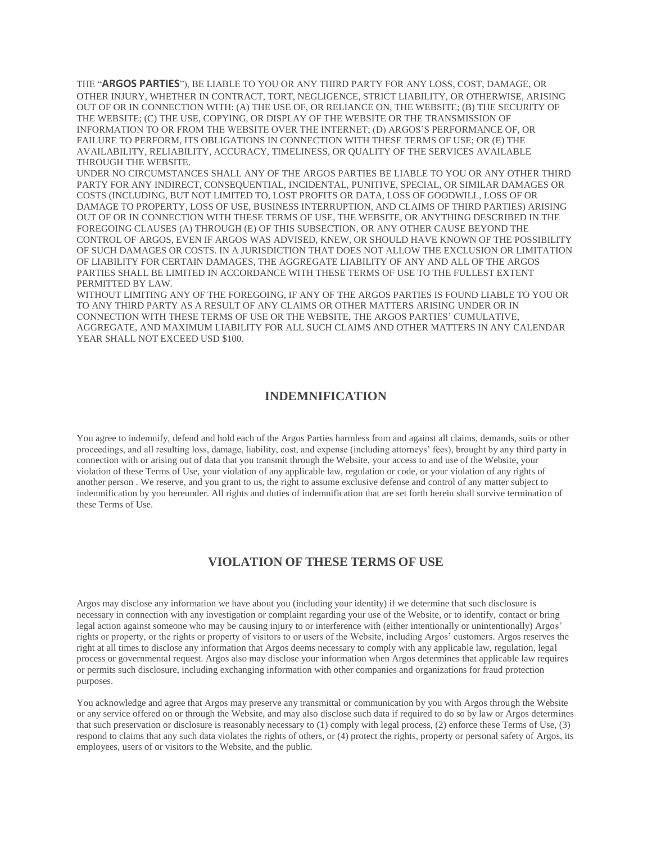THE "**ARGOS PARTIES**"), BE LIABLE TO YOU OR ANY THIRD PARTY FOR ANY LOSS, COST, DAMAGE, OR OTHER INJURY, WHETHER IN CONTRACT, TORT, NEGLIGENCE, STRICT LIABILITY, OR OTHERWISE, ARISING OUT OF OR IN CONNECTION WITH: (A) THE USE OF, OR RELIANCE ON, THE WEBSITE; (B) THE SECURITY OF THE WEBSITE; (C) THE USE, COPYING, OR DISPLAY OF THE WEBSITE OR THE TRANSMISSION OF INFORMATION TO OR FROM THE WEBSITE OVER THE INTERNET; (D) ARGOS'S PERFORMANCE OF, OR FAILURE TO PERFORM, ITS OBLIGATIONS IN CONNECTION WITH THESE TERMS OF USE; OR (E) THE AVAILABILITY, RELIABILITY, ACCURACY, TIMELINESS, OR QUALITY OF THE SERVICES AVAILABLE THROUGH THE WEBSITE.

UNDER NO CIRCUMSTANCES SHALL ANY OF THE ARGOS PARTIES BE LIABLE TO YOU OR ANY OTHER THIRD PARTY FOR ANY INDIRECT, CONSEQUENTIAL, INCIDENTAL, PUNITIVE, SPECIAL, OR SIMILAR DAMAGES OR COSTS (INCLUDING, BUT NOT LIMITED TO, LOST PROFITS OR DATA, LOSS OF GOODWILL, LOSS OF OR DAMAGE TO PROPERTY, LOSS OF USE, BUSINESS INTERRUPTION, AND CLAIMS OF THIRD PARTIES) ARISING OUT OF OR IN CONNECTION WITH THESE TERMS OF USE, THE WEBSITE, OR ANYTHING DESCRIBED IN THE FOREGOING CLAUSES (A) THROUGH (E) OF THIS SUBSECTION, OR ANY OTHER CAUSE BEYOND THE CONTROL OF ARGOS, EVEN IF ARGOS WAS ADVISED, KNEW, OR SHOULD HAVE KNOWN OF THE POSSIBILITY OF SUCH DAMAGES OR COSTS. IN A JURISDICTION THAT DOES NOT ALLOW THE EXCLUSION OR LIMITATION OF LIABILITY FOR CERTAIN DAMAGES, THE AGGREGATE LIABILITY OF ANY AND ALL OF THE ARGOS PARTIES SHALL BE LIMITED IN ACCORDANCE WITH THESE TERMS OF USE TO THE FULLEST EXTENT PERMITTED BY LAW.

WITHOUT LIMITING ANY OF THE FOREGOING, IF ANY OF THE ARGOS PARTIES IS FOUND LIABLE TO YOU OR TO ANY THIRD PARTY AS A RESULT OF ANY CLAIMS OR OTHER MATTERS ARISING UNDER OR IN CONNECTION WITH THESE TERMS OF USE OR THE WEBSITE, THE ARGOS PARTIES' CUMULATIVE, AGGREGATE, AND MAXIMUM LIABILITY FOR ALL SUCH CLAIMS AND OTHER MATTERS IN ANY CALENDAR YEAR SHALL NOT EXCEED USD \$100.

#### **INDEMNIFICATION**

You agree to indemnify, defend and hold each of the Argos Parties harmless from and against all claims, demands, suits or other proceedings, and all resulting loss, damage, liability, cost, and expense (including attorneys' fees), brought by any third party in connection with or arising out of data that you transmit through the Website, your access to and use of the Website, your violation of these Terms of Use, your violation of any applicable law, regulation or code, or your violation of any rights of another person . We reserve, and you grant to us, the right to assume exclusive defense and control of any matter subject to indemnification by you hereunder. All rights and duties of indemnification that are set forth herein shall survive termination of these Terms of Use.

## **VIOLATION OF THESE TERMS OF USE**

Argos may disclose any information we have about you (including your identity) if we determine that such disclosure is necessary in connection with any investigation or complaint regarding your use of the Website, or to identify, contact or bring legal action against someone who may be causing injury to or interference with (either intentionally or unintentionally) Argos' rights or property, or the rights or property of visitors to or users of the Website, including Argos' customers. Argos reserves the right at all times to disclose any information that Argos deems necessary to comply with any applicable law, regulation, legal process or governmental request. Argos also may disclose your information when Argos determines that applicable law requires or permits such disclosure, including exchanging information with other companies and organizations for fraud protection purposes.

You acknowledge and agree that Argos may preserve any transmittal or communication by you with Argos through the Website or any service offered on or through the Website, and may also disclose such data if required to do so by law or Argos determines that such preservation or disclosure is reasonably necessary to (1) comply with legal process, (2) enforce these Terms of Use, (3) respond to claims that any such data violates the rights of others, or (4) protect the rights, property or personal safety of Argos, its employees, users of or visitors to the Website, and the public.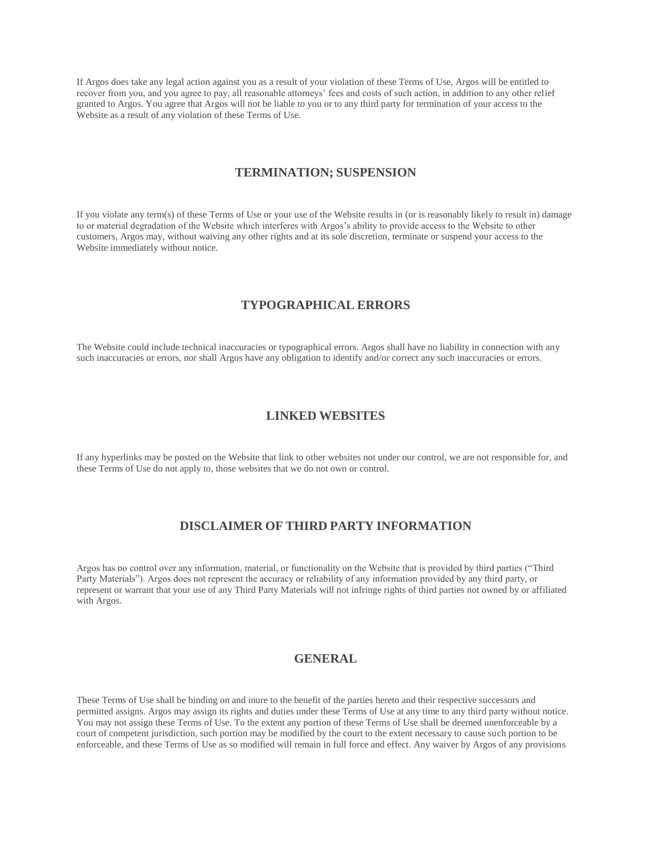If Argos does take any legal action against you as a result of your violation of these Terms of Use, Argos will be entitled to recover from you, and you agree to pay, all reasonable attorneys' fees and costs of such action, in addition to any other relief granted to Argos. You agree that Argos will not be liable to you or to any third party for termination of your access to the Website as a result of any violation of these Terms of Use.

#### **TERMINATION; SUSPENSION**

If you violate any term(s) of these Terms of Use or your use of the Website results in (or is reasonably likely to result in) damage to or material degradation of the Website which interferes with Argos's ability to provide access to the Website to other customers, Argos may, without waiving any other rights and at its sole discretion, terminate or suspend your access to the Website immediately without notice.

## **TYPOGRAPHICAL ERRORS**

The Website could include technical inaccuracies or typographical errors. Argos shall have no liability in connection with any such inaccuracies or errors, nor shall Argos have any obligation to identify and/or correct any such inaccuracies or errors.

## **LINKED WEBSITES**

If any hyperlinks may be posted on the Website that link to other websites not under our control, we are not responsible for, and these Terms of Use do not apply to, those websites that we do not own or control.

## **DISCLAIMER OF THIRD PARTY INFORMATION**

Argos has no control over any information, material, or functionality on the Website that is provided by third parties ("Third Party Materials"). Argos does not represent the accuracy or reliability of any information provided by any third party, or represent or warrant that your use of any Third Party Materials will not infringe rights of third parties not owned by or affiliated with Argos.

## **GENERAL**

These Terms of Use shall be binding on and inure to the benefit of the parties hereto and their respective successors and permitted assigns. Argos may assign its rights and duties under these Terms of Use at any time to any third party without notice. You may not assign these Terms of Use. To the extent any portion of these Terms of Use shall be deemed unenforceable by a court of competent jurisdiction, such portion may be modified by the court to the extent necessary to cause such portion to be enforceable, and these Terms of Use as so modified will remain in full force and effect. Any waiver by Argos of any provisions